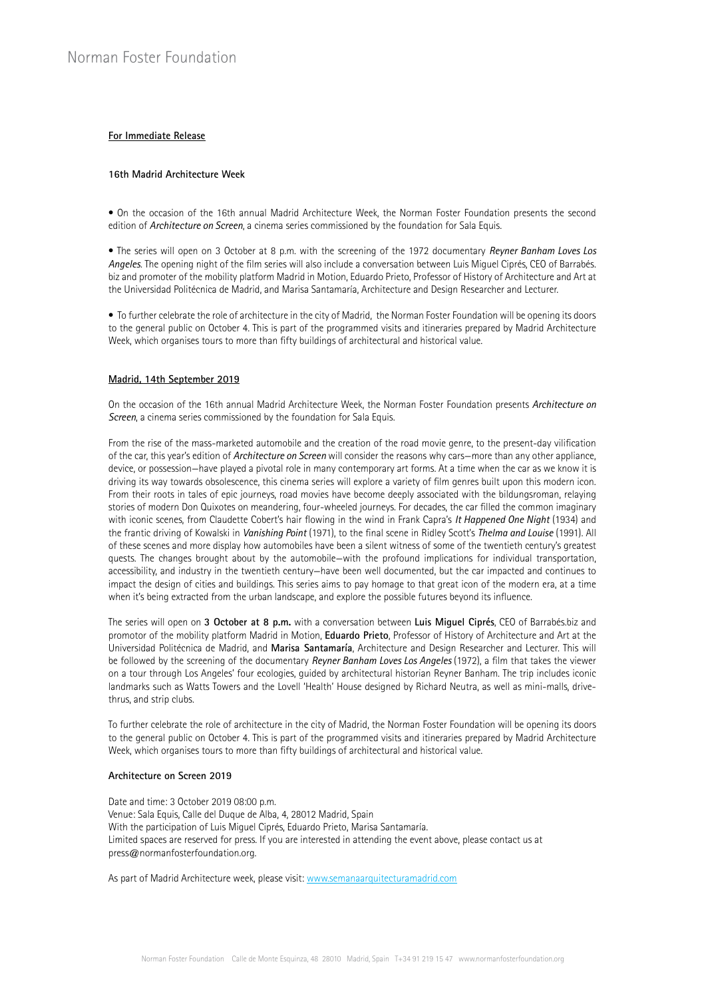## **For Immediate Release**

## **16th Madrid Architecture Week**

• On the occasion of the 16th annual Madrid Architecture Week, the Norman Foster Foundation presents the second edition of *Architecture on Screen*, a cinema series commissioned by the foundation for Sala Equis.

• The series will open on 3 October at 8 p.m. with the screening of the 1972 documentary *Reyner Banham Loves Los Angeles*. The opening night of the film series will also include a conversation between Luis Miguel Ciprés, CEO of Barrabés. biz and promoter of the mobility platform Madrid in Motion, Eduardo Prieto, Professor of History of Architecture and Art at the Universidad Politécnica de Madrid, and Marisa Santamaría, Architecture and Design Researcher and Lecturer.

• To further celebrate the role of architecture in the city of Madrid, the Norman Foster Foundation will be opening its doors to the general public on October 4. This is part of the programmed visits and itineraries prepared by Madrid Architecture Week, which organises tours to more than fifty buildings of architectural and historical value.

### **Madrid, 14th September 2019**

On the occasion of the 16th annual Madrid Architecture Week, the Norman Foster Foundation presents *Architecture on Screen*, a cinema series commissioned by the foundation for Sala Equis.

From the rise of the mass-marketed automobile and the creation of the road movie genre, to the present-day vilification of the car, this year's edition of *Architecture on Screen* will consider the reasons why cars—more than any other appliance, device, or possession—have played a pivotal role in many contemporary art forms. At a time when the car as we know it is driving its way towards obsolescence, this cinema series will explore a variety of film genres built upon this modern icon. From their roots in tales of epic journeys, road movies have become deeply associated with the bildungsroman, relaying stories of modern Don Quixotes on meandering, four-wheeled journeys. For decades, the car filled the common imaginary with iconic scenes, from Claudette Cobert's hair flowing in the wind in Frank Capra's *It Happened One Night* (1934) and the frantic driving of Kowalski in *Vanishing Point* (1971), to the final scene in Ridley Scott's *Thelma and Louise* (1991). All of these scenes and more display how automobiles have been a silent witness of some of the twentieth century's greatest quests. The changes brought about by the automobile—with the profound implications for individual transportation, accessibility, and industry in the twentieth century—have been well documented, but the car impacted and continues to impact the design of cities and buildings. This series aims to pay homage to that great icon of the modern era, at a time when it's being extracted from the urban landscape, and explore the possible futures beyond its influence.

The series will open on **3 October at 8 p.m.** with a conversation between **Luis Miguel Ciprés**, CEO of Barrabés.biz and promotor of the mobility platform Madrid in Motion, **Eduardo Prieto**, Professor of History of Architecture and Art at the Universidad Politécnica de Madrid, and **Marisa Santamaría**, Architecture and Design Researcher and Lecturer. This will be followed by the screening of the documentary *Reyner Banham Loves Los Angeles* (1972), a film that takes the viewer on a tour through Los Angeles' four ecologies, guided by architectural historian Reyner Banham. The trip includes iconic landmarks such as Watts Towers and the Lovell 'Health' House designed by Richard Neutra, as well as mini-malls, drivethrus, and strip clubs.

To further celebrate the role of architecture in the city of Madrid, the Norman Foster Foundation will be opening its doors to the general public on October 4. This is part of the programmed visits and itineraries prepared by Madrid Architecture Week, which organises tours to more than fifty buildings of architectural and historical value.

## **Architecture on Screen 2019**

Date and time: 3 October 2019 08:00 p.m. Venue: Sala Equis, Calle del Duque de Alba, 4, 28012 Madrid, Spain With the participation of Luis Miguel Ciprés, Eduardo Prieto, Marisa Santamaría. Limited spaces are reserved for press. If you are interested in attending the event above, please contact us at press@normanfosterfoundation.org.

As part of Madrid Architecture week, please visit: www.semanaarquitecturamadrid.com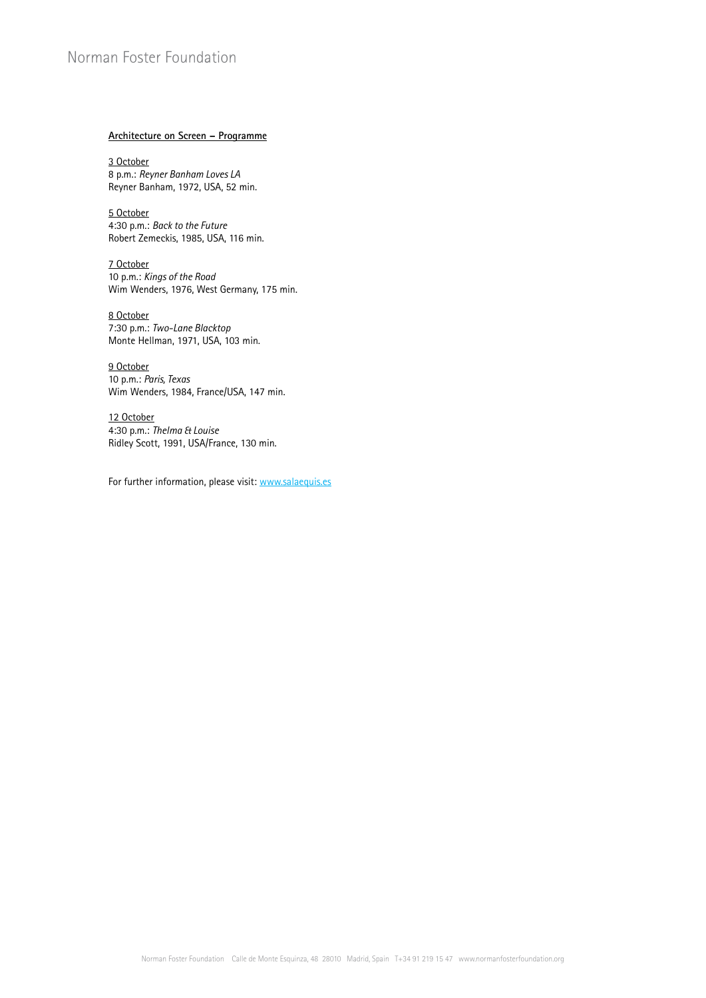# Norman Foster Foundation

# **Architecture on Screen – Programme**

3 October 8 p.m.: *Reyner Banham Loves LA* Reyner Banham, 1972, USA, 52 min.

5 October 4:30 p.m.: *Back to the Future* Robert Zemeckis, 1985, USA, 116 min.

7 October 10 p.m.: *Kings of the Road* Wim Wenders, 1976, West Germany, 175 min.

8 October 7:30 p.m.: *Two-Lane Blacktop* Monte Hellman, 1971, USA, 103 min.

9 October 10 p.m.: *Paris, Texas*  Wim Wenders, 1984, France/USA, 147 min.

12 October 4:30 p.m.: *Thelma & Louise* Ridley Scott, 1991, USA/France, 130 min.

For further information, please visit: www.salaequis.es